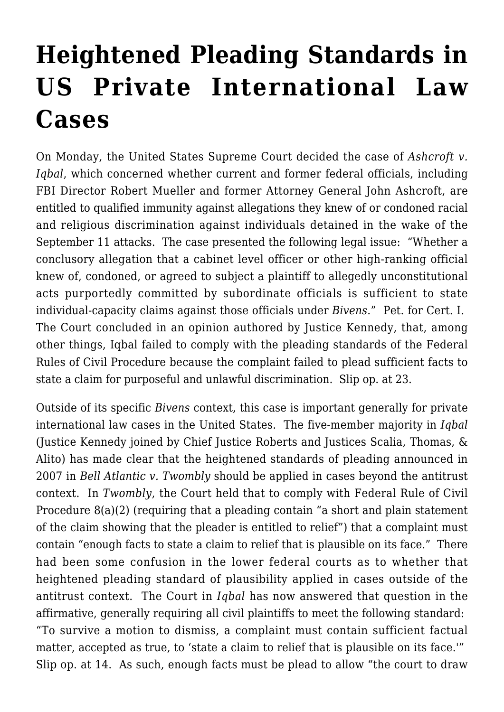## **[Heightened Pleading Standards in](https://conflictoflaws.net/2009/heightened-pleading-standards-in-us-private-international-law-cases/) [US Private International Law](https://conflictoflaws.net/2009/heightened-pleading-standards-in-us-private-international-law-cases/) [Cases](https://conflictoflaws.net/2009/heightened-pleading-standards-in-us-private-international-law-cases/)**

On Monday, the United States Supreme Court decided the case of *[Ashcroft v.](http://www.supremecourtus.gov/opinions/08pdf/07-1015.pdf) [Iqbal](http://www.supremecourtus.gov/opinions/08pdf/07-1015.pdf)*, which concerned whether current and former federal officials, including FBI Director Robert Mueller and former Attorney General John Ashcroft, are entitled to qualified immunity against allegations they knew of or condoned racial and religious discrimination against individuals detained in the wake of the September 11 attacks. The case presented the following legal issue: "Whether a conclusory allegation that a cabinet level officer or other high-ranking official knew of, condoned, or agreed to subject a plaintiff to allegedly unconstitutional acts purportedly committed by subordinate officials is sufficient to state individual-capacity claims against those officials under *Bivens*." Pet. for Cert. I. The Court concluded in an opinion authored by Justice Kennedy, that, among other things, Iqbal failed to comply with the pleading standards of the Federal Rules of Civil Procedure because the complaint failed to plead sufficient facts to state a claim for purposeful and unlawful discrimination. Slip op. at 23.

Outside of its specific *Bivens* context, this case is important generally for private international law cases in the United States. The five-member majority in *Iqbal* (Justice Kennedy joined by Chief Justice Roberts and Justices Scalia, Thomas, & Alito) has made clear that the heightened standards of pleading announced in 2007 in *[Bell Atlantic v. Twombly](http://www.supremecourtus.gov/opinions/06pdf/05-1126.pdf)* [s](http://www.supremecourtus.gov/opinions/06pdf/05-1126.pdf)hould be applied in cases beyond the antitrust context. In *Twombly*, the Court held that to comply with Federal Rule of Civil Procedure 8(a)(2) (requiring that a pleading contain "a short and plain statement of the claim showing that the pleader is entitled to relief") that a complaint must contain "enough facts to state a claim to relief that is plausible on its face." There had been some confusion in the lower federal courts as to whether that heightened pleading standard of plausibility applied in cases outside of the antitrust context. The Court in *Iqbal* has now answered that question in the affirmative, generally requiring all civil plaintiffs to meet the following standard: "To survive a motion to dismiss, a complaint must contain sufficient factual matter, accepted as true, to 'state a claim to relief that is plausible on its face.'" Slip op. at 14. As such, enough facts must be plead to allow "the court to draw